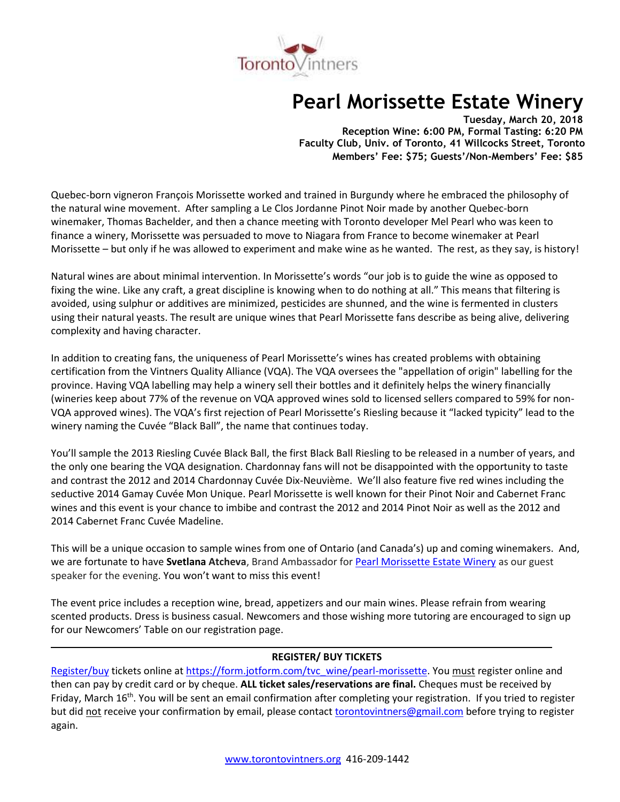

# **Pearl Morissette Estate Winery**

**Tuesday, March 20, 2018 Reception Wine: 6:00 PM, Formal Tasting: 6:20 PM Faculty Club, Univ. of Toronto, 41 Willcocks Street, Toronto Members' Fee: \$75; Guests'/Non-Members' Fee: \$85**

Quebec-born vigneron François Morissette worked and trained in Burgundy where he embraced the philosophy of the natural wine movement. After sampling a Le Clos Jordanne Pinot Noir made by another Quebec-born winemaker, Thomas Bachelder, and then a chance meeting with Toronto developer Mel Pearl who was keen to finance a winery, Morissette was persuaded to move to Niagara from France to become winemaker at Pearl Morissette – but only if he was allowed to experiment and make wine as he wanted. The rest, as they say, is history!

Natural wines are about minimal intervention. In Morissette's words "our job is to guide the wine as opposed to fixing the wine. Like any craft, a great discipline is knowing when to do nothing at all." This means that filtering is avoided, using sulphur or additives are minimized, pesticides are shunned, and the wine is fermented in clusters using their natural yeasts. The result are unique wines that Pearl Morissette fans describe as being alive, delivering complexity and having character.

In addition to creating fans, the uniqueness of Pearl Morissette's wines has created problems with obtaining certification from the Vintners Quality Alliance (VQA). The VQA oversees the "appellation of origin" labelling for the province. Having VQA labelling may help a winery sell their bottles and it definitely helps the winery financially (wineries keep about 77% of the revenue on VQA approved wines sold to licensed sellers compared to 59% for non-VQA approved wines). The VQA's first rejection of Pearl Morissette's Riesling because it "lacked typicity" lead to the winery naming the Cuvée "Black Ball", the name that continues today.

You'll sample the 2013 Riesling Cuvée Black Ball, the first Black Ball Riesling to be released in a number of years, and the only one bearing the VQA designation. Chardonnay fans will not be disappointed with the opportunity to taste and contrast the 2012 and 2014 Chardonnay Cuvée Dix-Neuvième. We'll also feature five red wines including the seductive 2014 Gamay Cuvée Mon Unique. Pearl Morissette is well known for their Pinot Noir and Cabernet Franc wines and this event is your chance to imbibe and contrast the 2012 and 2014 Pinot Noir as well as the 2012 and 2014 Cabernet Franc Cuvée Madeline.

This will be a unique occasion to sample wines from one of Ontario (and Canada's) up and coming winemakers. And, we are fortunate to have **Svetlana Atcheva**, Brand Ambassador for [Pearl Morissette Estate Winery](https://pearlmorissette.com/) as our guest speaker for the evening. You won't want to miss this event!

The event price includes a reception wine, bread, appetizers and our main wines. Please refrain from wearing scented products. Dress is business casual. Newcomers and those wishing more tutoring are encouraged to sign up for our Newcomers' Table on our registration page.

## **REGISTER/ BUY TICKETS**

[Register/buy](https://form.jotform.com/tvc_wine/pearl-morissette) tickets online at [https://form.jotform.com/tvc\\_wine/pearl-morissette.](https://form.jotform.com/tvc_wine/pearl-morissette) You must register online and then can pay by credit card or by cheque. **ALL ticket sales/reservations are final.** Cheques must be received by Friday, March 16<sup>th</sup>. You will be sent an email confirmation after completing your registration. If you tried to register but did not receive your confirmation by email, please contact [torontovintners@gmail.com](mailto:torontovintners@gmail.com) before trying to register again.